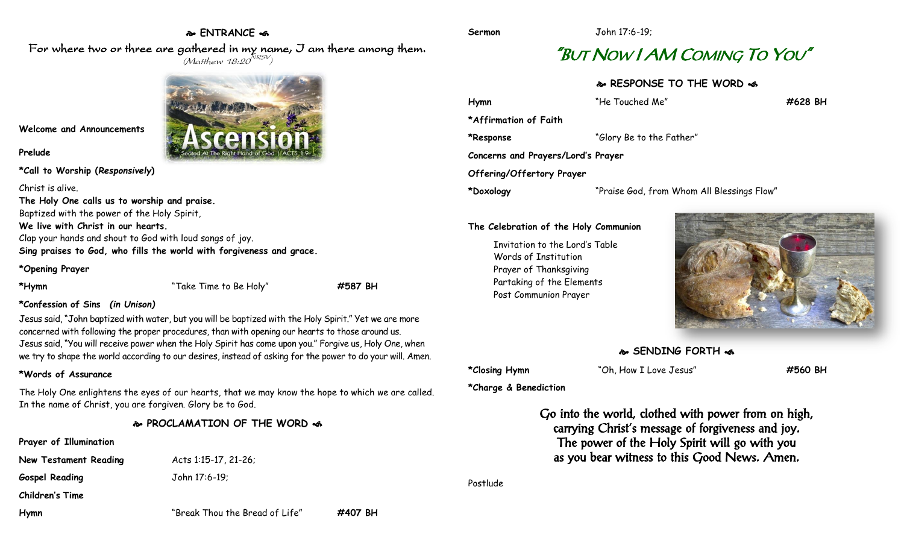#### **ENTRANCE**

**Sermon** John 17:6-19;

# "BUT NOW I AM COMING TO YOU"

#### **RESPONSE TO THE WORD**

| Hymn                               | "He Touched Me"                            | #628 BH |  |
|------------------------------------|--------------------------------------------|---------|--|
| *Affirmation of Faith              |                                            |         |  |
| *Response                          | "Glory Be to the Father"                   |         |  |
| Concerns and Prayers/Lord's Prayer |                                            |         |  |
| Offering/Offertory Prayer          |                                            |         |  |
| *Doxology                          | "Praise God, from Whom All Blessings Flow" |         |  |
|                                    |                                            |         |  |

#### **The Celebration of the Holy Communion**

Invitation to the Lord's Table Words of Institution Prayer of Thanksgiving Partaking of the Elements Post Communion Prayer



#### **SENDING FORTH**

**\*Closing Hymn** "Oh, How I Love Jesus" **#560 BH**

**\*Charge & Benediction**

Go into the world, clothed with power from on high, carrying Christ's message of forgiveness and joy. The power of the Holy Spirit will go with you as you bear witness to this Good News. Amen.

Postlude

For where two or three are gathered in my name, I am there among them.  $(M$ atthew 18:20 $^{NRSV})$ 



### **Welcome and Announcements**

#### **Prelude**

**\*Call to Worship (***Responsively***)** 

Christ is alive.

**The Holy One calls us to worship and praise.** Baptized with the power of the Holy Spirit,

**We live with Christ in our hearts.**

Clap your hands and shout to God with loud songs of joy.

**Sing praises to God, who fills the world with forgiveness and grace.**

#### **\*Opening Prayer**

**\*Hymn** "Take Time to Be Holy" **#587 BH**

#### **\*Confession of Sins** *(in Unison)*

Jesus said, "John baptized with water, but you will be baptized with the Holy Spirit." Yet we are more concerned with following the proper procedures, than with opening our hearts to those around us. Jesus said, "You will receive power when the Holy Spirit has come upon you." Forgive us, Holy One, when we try to shape the world according to our desires, instead of asking for the power to do your will. Amen.

#### **\*Words of Assurance**

The Holy One enlightens the eyes of our hearts, that we may know the hope to which we are called. In the name of Christ, you are forgiven. Glory be to God.

#### **PROCLAMATION OF THE WORD**

## **Prayer of Illumination New Testament Reading** Acts 1:15-17, 21-26; **Gospel Reading** John 17:6-19; **Children's Time Hymn** "Break Thou the Bread of Life" **#407 BH**